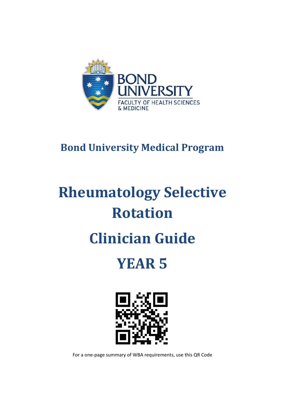

# **Bond University Medical Program**

# **Rheumatology Selective Rotation**

# **Clinician Guide**

# **YEAR 5**



For a one-page summary of WBA requirements, use this QR Code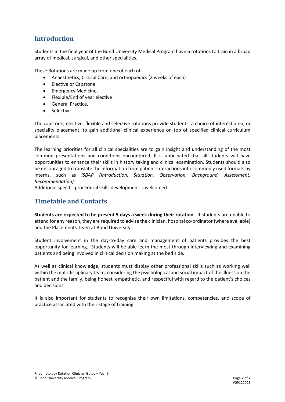# **Introduction**

Students in the final year of the Bond University Medical Program have 6 rotations to train in a broad array of medical, surgical, and other specialities.

These Rotations are made up from one of each of:

- Anaesthetics, Critical Care, and orthopaedics (2 weeks of each)
- Elective or Capstone
- Emergency Medicine,
- Flexible/End of year elective
- General Practice,
- Selective

The capstone, elective, flexible and selective rotations provide students' a choice of interest area, or speciality placement, to gain additional clinical experience on top of specified clinical curriculum placements.

The learning priorities for all clinical specialities are to gain insight and understanding of the most common presentations and conditions encountered. It is anticipated that all students will have opportunities to enhance their skills in history taking and clinical examination. Students should also be encouraged to translate the information from patient interactions into commonly used formats by interns, such as *ISBAR (Introduction, Situation, Observation, Background, Assessment, Recommendation)*

Additional specific procedural skills development is welcomed

### **Timetable and Contacts**

**Students are expected to be present 5 days a week during their rotation**. If students are unable to attend for any reason, they are required to advise the clinician, hospital co-ordinator (where available) and the Placements Team at Bond University.

Student involvement in the day-to-day care and management of patients provides the best opportunity for learning. Students will be able learn the most through interviewing and examining patients and being involved in clinical decision making at the bed side.

As well as clinical knowledge, students must display other professional skills such as working well within the multidisciplinary team, considering the psychological and social impact of the illness on the patient and the family, being honest, empathetic, and respectful with regard to the patient's choices and decisions.

It is also important for students to recognise their own limitations, competencies, and scope of practice associated with their stage of training.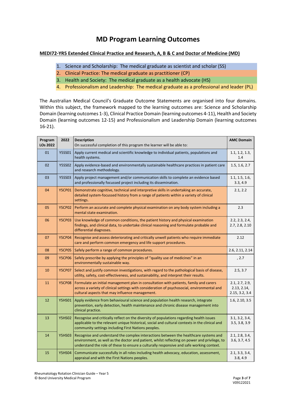# **MD Program Learning Outcomes**

#### **MEDI72-YR5 Extended Clinical Practice and Research, A, B & C and Doctor of Medicine (MD)**

- 1. Science and Scholarship: The medical graduate as scientist and scholar (SS)
- 2. Clinical Practice: The medical graduate as practitioner (CP)
- 3. Health and Society: The medical graduate as a health advocate (HS)
- 4. Professionalism and Leadership: The medical graduate as a professional and leader (PL)

The Australian Medical Council's Graduate Outcome Statements are organised into four domains. Within this subject, the framework mapped to the learning outcomes are: Science and Scholarship Domain (learning outcomes 1-3), Clinical Practice Domain (learning outcomes 4-11), Health and Society Domain (learning outcomes 12-15) and Professionalism and Leadership Domain (learning outcomes 16-21).

| Program<br>LOs 2022 | 2022          | <b>Description</b><br>On successful completion of this program the learner will be able to:                                                                                                                                                                                      | <b>AMC Domain</b>                               |
|---------------------|---------------|----------------------------------------------------------------------------------------------------------------------------------------------------------------------------------------------------------------------------------------------------------------------------------|-------------------------------------------------|
| 01                  | <b>Y5SS01</b> | Apply current medical and scientific knowledge to individual patients, populations and<br>health systems.                                                                                                                                                                        |                                                 |
| 02                  | <b>Y5SS02</b> | Apply evidence-based and environmentally sustainable healthcare practices in patient care<br>and research methodology.                                                                                                                                                           |                                                 |
| 03                  | <b>Y5SS03</b> | Apply project management and/or communication skills to complete an evidence based<br>and professionally focussed project including its dissemination.                                                                                                                           | 1.1, 1.5, 1.6,<br>3.3, 4.9                      |
| 04                  | <b>Y5CP01</b> | Demonstrate cognitive, technical and interpretive skills in undertaking an accurate,<br>detailed system-focussed history from a range of patients within a variety of clinical<br>settings.                                                                                      | 2.1, 2.2                                        |
| 05                  | <b>Y5CP02</b> | Perform an accurate and complete physical examination on any body system including a<br>mental state examination.                                                                                                                                                                | 2.3                                             |
| 06                  | <b>Y5CP03</b> | Use knowledge of common conditions, the patient history and physical examination<br>findings, and clinical data, to undertake clinical reasoning and formulate probable and<br>differential diagnoses.                                                                           | 2.2, 2.3, 2.4,<br>2.7, 2.8, 2.10                |
| 07                  | <b>Y5CP04</b> | Recognise and assess deteriorating and critically unwell patients who require immediate<br>care and perform common emergency and life support procedures.                                                                                                                        | 2.12                                            |
| 08                  | <b>Y5CP05</b> | Safely perform a range of common procedures.                                                                                                                                                                                                                                     | 2.6, 2.11, 2.14                                 |
| 09                  | <b>Y5CP06</b> | Safely prescribe by applying the principles of "quality use of medicines" in an<br>environmentally sustainable way.                                                                                                                                                              | , 2.7                                           |
| 10                  | <b>Y5CP07</b> | Select and justify common investigations, with regard to the pathological basis of disease,<br>utility, safety, cost-effectiveness, and sustainability, and interpret their results.                                                                                             | 2.5, 3.7                                        |
| 11                  | <b>Y5CP08</b> | Formulate an initial management plan in consultation with patients, family and carers<br>across a variety of clinical settings with consideration of psychosocial, environmental and<br>cultural aspects that may influence management.                                          | 2.1, 2.7, 2.9,<br>2.13, 2.14,<br>2.15, 3.2, 3.4 |
| 12                  | <b>Y5HS01</b> | Apply evidence from behavioural science and population health research, integrate<br>prevention, early detection, health maintenance and chronic disease management into<br>clinical practice.                                                                                   | 1.6, 2.10, 3.5                                  |
| 13                  | <b>Y5HS02</b> | Recognise and critically reflect on the diversity of populations regarding health issues<br>applicable to the relevant unique historical, social and cultural contexts in the clinical and<br>community settings including First Nations peoples.                                | 3.1, 3.2, 3.4,<br>3.5, 3.8, 3.9                 |
| 14                  | <b>Y5HS03</b> | Recognise and understand the complex interactions between the healthcare systems and<br>environment, as well as the doctor and patient, whilst reflecting on power and privilege, to<br>understand the role of these to ensure a culturally responsive and safe working context. | 2.1, 2.8, 3.4,<br>3.6, 3.7, 4.5                 |
| 15                  | <b>Y5HS04</b> | Communicate successfully in all roles including health advocacy, education, assessment,<br>appraisal and with the First Nations peoples.                                                                                                                                         | 2.1, 3.3, 3.4,<br>3.8, 4.9                      |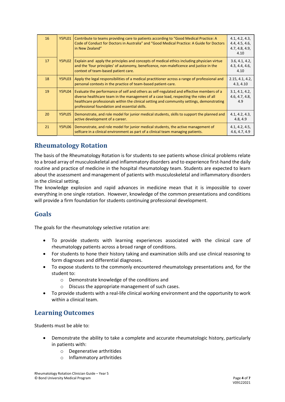| 16 | Y5PL01 | Contribute to teams providing care to patients according to "Good Medical Practice: A<br>Code of Conduct for Doctors in Australia" and "Good Medical Practice: A Guide for Doctors<br>in New Zealand"                                                                                                                            | 4.1, 4.2, 4.3,<br>4.4, 4.5, 4.6,<br>4.7, 4.8, 4.9,<br>4.10 |
|----|--------|----------------------------------------------------------------------------------------------------------------------------------------------------------------------------------------------------------------------------------------------------------------------------------------------------------------------------------|------------------------------------------------------------|
| 17 | Y5PL02 | Explain and apply the principles and concepts of medical ethics including physician virtue<br>and the 'four principles' of autonomy, beneficence, non-maleficence and justice in the<br>context of team-based patient care.                                                                                                      | 3.6, 4.1, 4.2,<br>4.3, 4.4, 4.6,<br>4.10                   |
| 18 | Y5PL03 | Apply the legal responsibilities of a medical practitioner across a range of professional and<br>personal contexts in the practice of team-based patient-care.                                                                                                                                                                   | 2.15, 4.1, 4.2,<br>4.3, 4.10                               |
| 19 | Y5PL04 | Evaluate the performance of self and others as self-regulated and effective members of a<br>diverse healthcare team in the management of a case load, respecting the roles of all<br>healthcare professionals within the clinical setting and community settings, demonstrating<br>professional foundation and essential skills. | 3.1, 4.1, 4.2,<br>4.6, 4.7, 4.8,<br>4.9                    |
| 20 | Y5PL05 | Demonstrate, and role model for junior medical students, skills to support the planned and<br>active development of a career.                                                                                                                                                                                                    | 4.1, 4.2, 4.3,<br>4.8, 4.9                                 |
| 21 | Y5PL06 | Demonstrate, and role model for junior medical students, the active management of<br>selfcare in a clinical environment as part of a clinical team managing patients.                                                                                                                                                            | 4.1, 4.2, 4.5,<br>4.6, 4.7, 4.9                            |

# **Rheumatology Rotation**

The basis of the Rheumatology Rotation is for students to see patients whose clinical problems relate to a broad array of musculoskeletal and inflammatory disorders and to experience first-hand the daily routine and practice of medicine in the hospital rheumatology team. Students are expected to learn about the assessment and management of patients with musculoskeletal and inflammatory disorders in the clinical setting.

The knowledge explosion and rapid advances in medicine mean that it is impossible to cover everything in one single rotation. However, knowledge of the common presentations and conditions will provide a firm foundation for students continuing professional development.

### **Goals**

The goals for the rheumatology selective rotation are:

- To provide students with learning experiences associated with the clinical care of rheumatology patients across a broad range of conditions.
- For students to hone their history taking and examination skills and use clinical reasoning to form diagnoses and differential diagnoses.
- To expose students to the commonly encountered rheumatology presentations and, for the student to:
	- o Demonstrate knowledge of the conditions and
	- o Discuss the appropriate management of such cases.
- To provide students with a real-life clinical working environment and the opportunity to work within a clinical team.

# **Learning Outcomes**

Students must be able to:

- Demonstrate the ability to take a complete and accurate rheumatologic history, particularly in patients with:
	- o Degenerative arthritides
	- o Inflammatory arthritides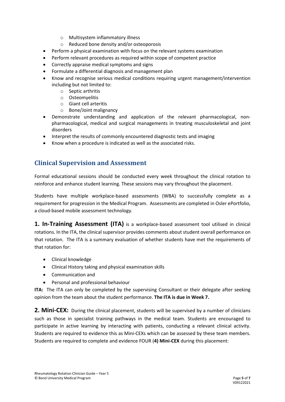- o Multisystem inflammatory illness
- o Reduced bone density and/or osteoporosis
- Perform a physical examination with focus on the relevant systems examination
- Perform relevant procedures as required within scope of competent practice
- Correctly appraise medical symptoms and signs
- Formulate a differential diagnosis and management plan
- Know and recognise serious medical conditions requiring urgent management/intervention including but not limited to:
	- o Septic arthritis
	- o Osteomyelitis
	- o Giant cell arteritis
	- o Bone/Joint malignancy
- Demonstrate understanding and application of the relevant pharmacological, nonpharmacological, medical and surgical managements in treating musculoskeletal and joint disorders
- Interpret the results of commonly encountered diagnostic tests and imaging
- Know when a procedure is indicated as well as the associated risks.

### **Clinical Supervision and Assessment**

Formal educational sessions should be conducted every week throughout the clinical rotation to reinforce and enhance student learning. These sessions may vary throughout the placement.

Students have multiple workplace-based assessments (WBA) to successfully complete as a requirement for progression in the Medical Program. Assessments are completed in Osler ePortfolio, a cloud-based mobile assessment technology.

**1. In-Training Assessment (ITA)** is a workplace-based assessment tool utilised in clinical rotations. In the ITA, the clinical supervisor provides comments about student overall performance on that rotation. The ITA is a summary evaluation of whether students have met the requirements of that rotation for:

- Clinical knowledge
- Clinical History taking and physical examination skills
- Communication and
- Personal and professional behaviour

**ITA:** The ITA can only be completed by the supervising Consultant or their delegate after seeking opinion from the team about the student performance. **The ITA is due in Week 7.**

**2. Mini-CEX:** During the clinical placement, students will be supervised by a number of clinicians such as those in specialist training pathways in the medical team. Students are encouraged to participate in active learning by interacting with patients, conducting a relevant clinical activity. Students are required to evidence this as Mini-CEXs which can be assessed by these team members. Students are required to complete and evidence FOUR (**4) Mini-CEX** during this placement: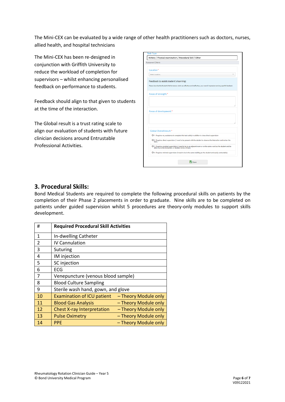The Mini-CEX can be evaluated by a wide range of other health practitioners such as doctors, nurses, allied health, and hospital technicians

The Mini-CEX has been re-designed in conjunction with Griffith University to reduce the workload of completion for supervisors – whilst enhancing personalised feedback on performance to students.

Feedback should align to that given to students at the time of the interaction.

The Global result is a trust rating scale to align our evaluation of students with future clinician decisions around Entrustable Professional Activities.

| <b>Assessment Criteria</b>                                                                                                        |                                                                                                                                                                         |  |  |  |  |
|-----------------------------------------------------------------------------------------------------------------------------------|-------------------------------------------------------------------------------------------------------------------------------------------------------------------------|--|--|--|--|
| Location*                                                                                                                         |                                                                                                                                                                         |  |  |  |  |
| Select Location                                                                                                                   |                                                                                                                                                                         |  |  |  |  |
|                                                                                                                                   | Feedback to assist student's learning:                                                                                                                                  |  |  |  |  |
| Please describe the Student's Performance: what was effective and ineffective, your overall impression and any specific feedback. |                                                                                                                                                                         |  |  |  |  |
|                                                                                                                                   | Areas of strength:*                                                                                                                                                     |  |  |  |  |
|                                                                                                                                   |                                                                                                                                                                         |  |  |  |  |
|                                                                                                                                   |                                                                                                                                                                         |  |  |  |  |
|                                                                                                                                   |                                                                                                                                                                         |  |  |  |  |
|                                                                                                                                   |                                                                                                                                                                         |  |  |  |  |
|                                                                                                                                   | Areas of development:*                                                                                                                                                  |  |  |  |  |
|                                                                                                                                   |                                                                                                                                                                         |  |  |  |  |
|                                                                                                                                   |                                                                                                                                                                         |  |  |  |  |
|                                                                                                                                   | Global Overall result:*                                                                                                                                                 |  |  |  |  |
|                                                                                                                                   | O 1. Requires my assistance to complete this task safely in addition to close direct supervision                                                                        |  |  |  |  |
| task)                                                                                                                             | O 2. Requires direct supervision (I need to be present with the student to observe the interaction and review the                                                       |  |  |  |  |
|                                                                                                                                   | O 3. Requires proximal supervision (I need to be in an adjacent room or on the same ward as the student and be<br>able to provide immediate or detailed review of task) |  |  |  |  |

#### **3. Procedural Skills:**

Bond Medical Students are required to complete the following procedural skills on patients by the completion of their Phase 2 placements in order to graduate. Nine skills are to be completed on patients under guided supervision whilst 5 procedures are theory-only modules to support skills development.

| #  | <b>Required Procedural Skill Activities</b> |                      |  |
|----|---------------------------------------------|----------------------|--|
| 1  | In-dwelling Catheter                        |                      |  |
| 2  | <b>IV Cannulation</b>                       |                      |  |
| 3  | Suturing                                    |                      |  |
| 4  | IM injection                                |                      |  |
| 5  | SC injection                                |                      |  |
| 6  | <b>ECG</b>                                  |                      |  |
| 7  | Venepuncture (venous blood sample)          |                      |  |
| 8  | <b>Blood Culture Sampling</b>               |                      |  |
| 9  | Sterile wash hand, gown, and glove          |                      |  |
| 10 | <b>Examination of ICU patient</b>           | - Theory Module only |  |
| 11 | <b>Blood Gas Analysis</b>                   | - Theory Module only |  |
| 12 | <b>Chest X-ray Interpretation</b>           | - Theory Module only |  |
| 13 | <b>Pulse Oximetry</b>                       | - Theory Module only |  |
| 14 | <b>PPE</b>                                  | - Theory Module only |  |